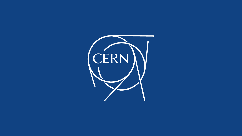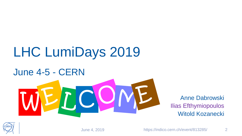## LHC LumiDays 2019

### June 4-5 - CERN

# MEL CIVIL Anne Dabrowski C

Anne Dabrowski Witold Kozanecki

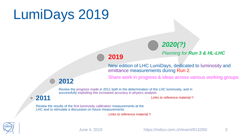### LumiDays 2019



*2020(?)*

*Planning for Run 3 & HL-LHC* 

New edition of LHC LumiDays, dedicated to luminosity and emittance measurements during Run 2.

Share work in progress & ideas across various working groups

#### **2012**

Review the progress made in 2011 both in the determination of the LHC luminosity, and in successfully exploiting this increased accuracy in physics analysis

**2011**

Links to reference material !!

Review the results of the first luminosity calibration measurements at the LHC and to stimulate a discussion on future measurements

Links to reference material !!

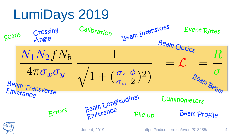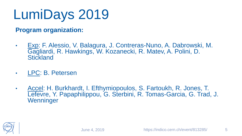### LumiDays 2019

#### **Program organization:**

- Exp: F. Alessio, V. Balagura, J. Contreras-Nuno, A. Dabrowski, M. Gagliardi, R. Hawkings, W. Kozanecki, R. Matev, A. Polini, D. **Stickland**
- LPC: B. Petersen
- Accel: H. Burkhardt, I. Efthymiopoulos, S. Fartoukh, R. Jones, T. Lefevre, Y. Papaphilippou, G. Sterbini, R. Tomas-Garcia, G. Trad, J. **Wenninger**